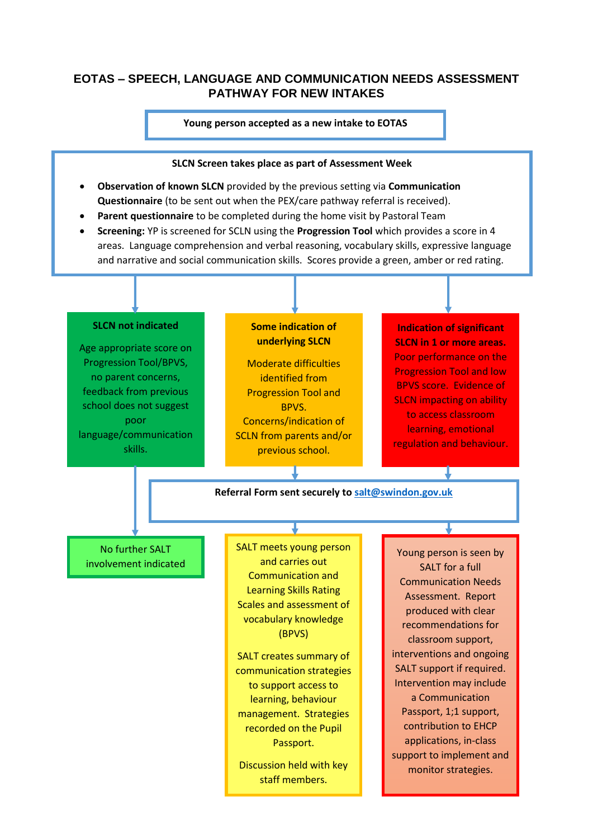## **EOTAS – SPEECH, LANGUAGE AND COMMUNICATION NEEDS ASSESSMENT PATHWAY FOR NEW INTAKES**

#### **Young person accepted as a new intake to EOTAS**



- **Observation of known SLCN** provided by the previous setting via **Communication Questionnaire** (to be sent out when the PEX/care pathway referral is received).
- **Parent questionnaire** to be completed during the home visit by Pastoral Team
- **Screening:** YP is screened for SCLN using the **Progression Tool** which provides a score in 4 areas. Language comprehension and verbal reasoning, vocabulary skills, expressive language and narrative and social communication skills. Scores provide a green, amber or red rating.

#### **SLCN not indicated**

ł

Age appropriate score on Progression Tool/BPVS, no parent concerns, feedback from previous school does not suggest poor language/communication skills.

#### **Some indication of underlying SLCN**

Moderate difficulties identified from Progression Tool and BPVS. Concerns/indication of SCLN from parents and/or previous school.

### **Indication of significant SLCN in 1 or more areas.** Poor performance on the Progression Tool and low BPVS score. Evidence of SLCN impacting on ability to access classroom learning, emotional regulation and behaviour.

**Referral Form sent securely to [salt@swindon.gov.uk](mailto:salt@swindon.gov.uk)**

No further SALT involvement indicated SALT meets young person and carries out Communication and Learning Skills Rating Scales and assessment of vocabulary knowledge (BPVS)

SALT creates summary of communication strategies to support access to learning, behaviour management. Strategies recorded on the Pupil Passport.

Discussion held with key staff members.

Young person is seen by SALT for a full Communication Needs Assessment. Report produced with clear recommendations for classroom support, interventions and ongoing SALT support if required. Intervention may include a Communication Passport, 1;1 support, contribution to EHCP applications, in-class support to implement and monitor strategies.